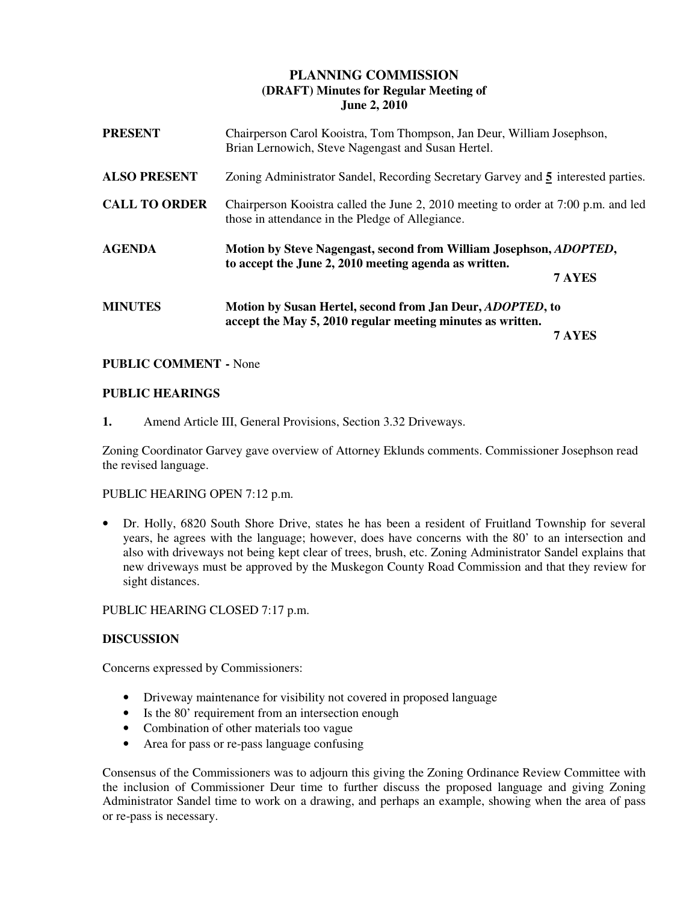# **PLANNING COMMISSION (DRAFT) Minutes for Regular Meeting of June 2, 2010**

| <b>PRESENT</b>       | Chairperson Carol Kooistra, Tom Thompson, Jan Deur, William Josephson,<br>Brian Lernowich, Steve Nagengast and Susan Hertel.           |        |
|----------------------|----------------------------------------------------------------------------------------------------------------------------------------|--------|
| <b>ALSO PRESENT</b>  | Zoning Administrator Sandel, Recording Secretary Garvey and 5 interested parties.                                                      |        |
| <b>CALL TO ORDER</b> | Chairperson Kooistra called the June 2, 2010 meeting to order at 7:00 p.m. and led<br>those in attendance in the Pledge of Allegiance. |        |
| <b>AGENDA</b>        | Motion by Steve Nagengast, second from William Josephson, <i>ADOPTED</i> ,<br>to accept the June 2, 2010 meeting agenda as written.    |        |
|                      |                                                                                                                                        | 7 AYES |
| <b>MINUTES</b>       | Motion by Susan Hertel, second from Jan Deur, <i>ADOPTED</i> , to                                                                      |        |
|                      | accept the May 5, 2010 regular meeting minutes as written.                                                                             |        |

## **PUBLIC COMMENT -** None

## **PUBLIC HEARINGS**

**1.** Amend Article III, General Provisions, Section 3.32 Driveways.

Zoning Coordinator Garvey gave overview of Attorney Eklunds comments. Commissioner Josephson read the revised language.

#### PUBLIC HEARING OPEN 7:12 p.m.

• Dr. Holly, 6820 South Shore Drive, states he has been a resident of Fruitland Township for several years, he agrees with the language; however, does have concerns with the 80' to an intersection and also with driveways not being kept clear of trees, brush, etc. Zoning Administrator Sandel explains that new driveways must be approved by the Muskegon County Road Commission and that they review for sight distances.

PUBLIC HEARING CLOSED 7:17 p.m.

## **DISCUSSION**

Concerns expressed by Commissioners:

- Driveway maintenance for visibility not covered in proposed language
- Is the 80' requirement from an intersection enough
- Combination of other materials too vague
- Area for pass or re-pass language confusing

Consensus of the Commissioners was to adjourn this giving the Zoning Ordinance Review Committee with the inclusion of Commissioner Deur time to further discuss the proposed language and giving Zoning Administrator Sandel time to work on a drawing, and perhaps an example, showing when the area of pass or re-pass is necessary.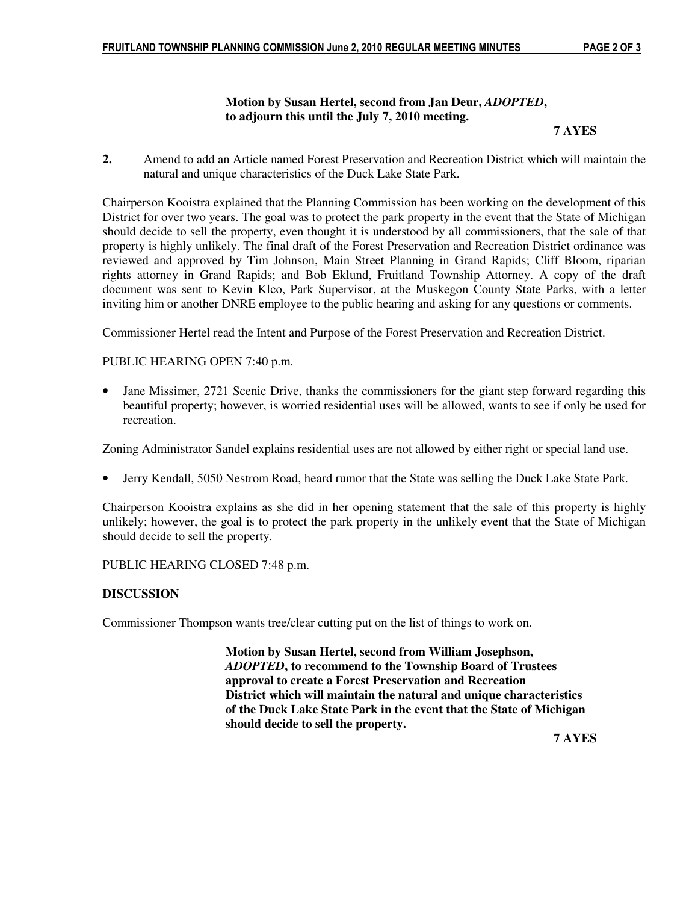## **Motion by Susan Hertel, second from Jan Deur,** *ADOPTED***, to adjourn this until the July 7, 2010 meeting.**

#### **7 AYES**

**2.** Amend to add an Article named Forest Preservation and Recreation District which will maintain the natural and unique characteristics of the Duck Lake State Park.

Chairperson Kooistra explained that the Planning Commission has been working on the development of this District for over two years. The goal was to protect the park property in the event that the State of Michigan should decide to sell the property, even thought it is understood by all commissioners, that the sale of that property is highly unlikely. The final draft of the Forest Preservation and Recreation District ordinance was reviewed and approved by Tim Johnson, Main Street Planning in Grand Rapids; Cliff Bloom, riparian rights attorney in Grand Rapids; and Bob Eklund, Fruitland Township Attorney. A copy of the draft document was sent to Kevin Klco, Park Supervisor, at the Muskegon County State Parks, with a letter inviting him or another DNRE employee to the public hearing and asking for any questions or comments.

Commissioner Hertel read the Intent and Purpose of the Forest Preservation and Recreation District.

#### PUBLIC HEARING OPEN 7:40 p.m.

• Jane Missimer, 2721 Scenic Drive, thanks the commissioners for the giant step forward regarding this beautiful property; however, is worried residential uses will be allowed, wants to see if only be used for recreation.

Zoning Administrator Sandel explains residential uses are not allowed by either right or special land use.

• Jerry Kendall, 5050 Nestrom Road, heard rumor that the State was selling the Duck Lake State Park.

Chairperson Kooistra explains as she did in her opening statement that the sale of this property is highly unlikely; however, the goal is to protect the park property in the unlikely event that the State of Michigan should decide to sell the property.

#### PUBLIC HEARING CLOSED 7:48 p.m.

#### **DISCUSSION**

Commissioner Thompson wants tree/clear cutting put on the list of things to work on.

 **Motion by Susan Hertel, second from William Josephson,** *ADOPTED***, to recommend to the Township Board of Trustees approval to create a Forest Preservation and Recreation District which will maintain the natural and unique characteristics of the Duck Lake State Park in the event that the State of Michigan should decide to sell the property.** 

 **7 AYES**